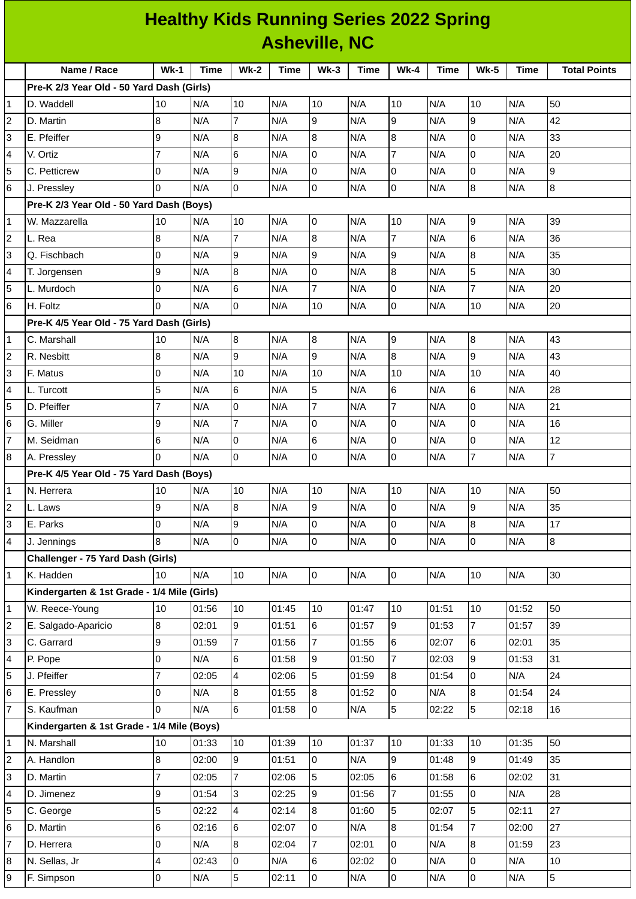| <b>Healthy Kids Running Series 2022 Spring</b> |                                             |                |             |                 |             |                |             |                |             |                  |                         |                     |
|------------------------------------------------|---------------------------------------------|----------------|-------------|-----------------|-------------|----------------|-------------|----------------|-------------|------------------|-------------------------|---------------------|
| <b>Asheville, NC</b>                           |                                             |                |             |                 |             |                |             |                |             |                  |                         |                     |
|                                                | Name / Race                                 | $Wk-1$         | <b>Time</b> | <b>Wk-2</b>     | <b>Time</b> | $Wk-3$         | <b>Time</b> | $Wk-4$         | <b>Time</b> | <b>Wk-5</b>      | <b>Time</b>             | <b>Total Points</b> |
|                                                | Pre-K 2/3 Year Old - 50 Yard Dash (Girls)   |                |             |                 |             |                |             |                |             |                  |                         |                     |
| 1                                              | D. Waddell                                  | 10             | N/A         | 10              | N/A         | 10             | N/A         | 10             | N/A         | 10               | N/A                     | 50                  |
| $\overline{c}$                                 | D. Martin                                   | 8              | N/A         | $\overline{7}$  | N/A         | 9              | N/A         | 9              | N/A         | 9                | N/A                     | 42                  |
| 3                                              | E. Pfeiffer                                 | 9              | N/A         | 8               | N/A         | 8              | N/A         | 8              | N/A         | $\overline{0}$   | N/A                     | 33                  |
| 4                                              | V. Ortiz                                    | $\overline{7}$ | N/A         | 6               | N/A         | 0              | N/A         | $\overline{7}$ | N/A         | 0                | N/A                     | 20                  |
| 5                                              | C. Petticrew                                | O              | N/A         | 9               | N/A         | 0              | N/A         | 0              | N/A         | 0                | N/A                     | 9                   |
| 6                                              | J. Pressley                                 | $\Omega$       | N/A         | Iо              | N/A         | 0              | N/A         | l0             | N/A         | $\boldsymbol{8}$ | N/A                     | $\bf{8}$            |
|                                                | Pre-K 2/3 Year Old - 50 Yard Dash (Boys)    |                |             |                 |             |                |             |                |             |                  |                         |                     |
| $\mathbf{1}$                                   | W. Mazzarella                               | 10             | N/A         | 10              | N/A         | 0              | N/A         | 10             | N/A         | 9                | N/A                     | 39                  |
| 2                                              | L. Rea                                      | 8              | N/A         | $\overline{7}$  | N/A         | 8              | N/A         | $\overline{7}$ | N/A         | 6                | N/A                     | 36                  |
| 3                                              | Q. Fischbach                                | 0              | N/A         | 9               | N/A         | 9              | N/A         | 9              | N/A         | $\bf 8$          | N/A                     | 35                  |
| 4                                              | T. Jorgensen                                | 9              | N/A         | $\overline{8}$  | N/A         | 0              | N/A         | 8              | N/A         | 5                | N/A                     | 30                  |
| 5                                              | L. Murdoch                                  | 0              | N/A         | $6\phantom{.}6$ | N/A         | 7              | N/A         | l0             | N/A         | $\overline{7}$   | N/A                     | 20                  |
| 6                                              | H. Foltz                                    | $\Omega$       | N/A         | 0               | N/A         | 10             | N/A         | 0              | N/A         | 10               | N/A                     | 20                  |
|                                                | Pre-K 4/5 Year Old - 75 Yard Dash (Girls)   |                |             |                 |             |                |             |                |             |                  |                         |                     |
| 1                                              | C. Marshall                                 | 10             | N/A         | 8               | N/A         | 8              | N/A         | 9              | N/A         | 8                | N/A                     | 43                  |
| $\overline{c}$                                 | R. Nesbitt                                  | 8              | N/A         | 9               | N/A         | 9              | N/A         | $\overline{8}$ | N/A         | $\overline{9}$   | N/A                     | 43                  |
| 3                                              | F. Matus                                    | 0              | N/A         | 10              | N/A         | 10             | N/A         | 10             | N/A         | 10               | N/A                     | 40                  |
| 4                                              | L. Turcott                                  | 5              | N/A         | 6               | N/A         | 5              | N/A         | 6              | N/A         | 6                | N/A                     | 28                  |
| 5                                              | D. Pfeiffer                                 | $\overline{7}$ | N/A         | l0              | N/A         | $\overline{7}$ | N/A         | $\overline{7}$ | N/A         | $\overline{0}$   | N/A                     | 21                  |
| 6                                              | G. Miller                                   | 9              | N/A         | $\overline{7}$  | N/A         | 0              | N/A         | 0              | N/A         | 0                | N/A                     | 16                  |
| $\overline{7}$                                 | M. Seidman                                  | 6              | N/A         | 0               | N/A         | 6              | N/A         | 0              | N/A         | $\overline{0}$   | N/A                     | 12                  |
| 8                                              | A. Pressley                                 | $\Omega$       | N/A         | l0              | N/A         | 0              | N/A         | 0              | N/A         | $\overline{7}$   | N/A                     | $\overline{7}$      |
|                                                | Pre-K 4/5 Year Old - 75 Yard Dash (Boys)    |                |             |                 |             |                |             |                |             |                  |                         |                     |
| 1                                              | N. Herrera                                  | 10             | N/A         | 10              | N/A         | 10             | N/A         | 10             | N/A         | 10               | N/A                     | 50                  |
| 2                                              | L. Laws                                     | 9              | N/A         | 8               | N/A         | 9              | N/A         | l0             | N/A         | 9                | N/A                     | 35                  |
| 3                                              | E. Parks                                    | $\overline{0}$ | N/A         | 9               | N/A         | 0              | N/A         | 0              | N/A         | $\bf{8}$         | N/A                     | 17                  |
| 4                                              | J. Jennings                                 | 8              | N/A         | lo.             | N/A         | 0              | N/A         | l O            | N/A         | $\overline{0}$   | N/A                     | 8                   |
|                                                | Challenger - 75 Yard Dash (Girls)           |                |             |                 |             |                |             |                |             |                  |                         |                     |
| $\mathbf{1}$                                   | K. Hadden                                   | 10             | N/A         | 10              | N/A         | 0              | N/A         | l0             | N/A         | 10               | N/A                     | 30                  |
|                                                | Kindergarten & 1st Grade - 1/4 Mile (Girls) |                |             |                 |             |                |             |                |             |                  |                         |                     |
| 1                                              | W. Reece-Young                              | 10             | 01:56       | 10              | 01:45       | 10             | 01:47       | 10             | 01:51       | 10               | 01:52                   | 50                  |
| $\overline{c}$                                 | E. Salgado-Aparicio                         | $\bf{8}$       | 02:01       | 9               | 01:51       | 6              | 01:57       | 9              | 01:53       | $\overline{7}$   | 01:57                   | 39                  |
| 3                                              | C. Garrard                                  | 9              | 01:59       | $\overline{7}$  | 01:56       | $\overline{7}$ | 01:55       | 6              | 02:07       | 6                | 02:01                   | 35                  |
| 4                                              | P. Pope                                     | $\overline{0}$ | N/A         | 6               | 01:58       | 9              | 01:50       | $\overline{7}$ | 02:03       | 9                | 01:53                   | 31                  |
| 5                                              | J. Pfeiffer                                 | $\overline{7}$ | 02:05       | 4               | 02:06       | 5              | 01:59       | 8              | 01:54       | 0                | N/A                     | 24                  |
| 6                                              | E. Pressley                                 | 0              | N/A         | 8               | 01:55       | 8              | 01:52       | 0              | N/A         | 8                | 01:54                   | 24                  |
| 7                                              | S. Kaufman                                  | 0              | N/A         | 6               | 01:58       | 0              | N/A         | 5              | 02:22       | 5                | 02:18                   | 16                  |
|                                                | Kindergarten & 1st Grade - 1/4 Mile (Boys)  |                |             |                 |             |                |             |                |             |                  |                         |                     |
| 1                                              | N. Marshall                                 | 10             | 01:33       | 10              | 01:39       | 10             | 01:37       | 10             | 01:33       | 10               | 01:35                   | 50                  |
| $\overline{c}$                                 | A. Handlon                                  | 8              | 02:00       | 9               | 01:51       | 0              | N/A         | 9              | 01:48       | 9                | 01:49                   | 35                  |
| 3                                              | D. Martin                                   | $\overline{7}$ | 02:05       | $\overline{7}$  | 02:06       | 5              | 02:05       | 6              | 01:58       | 6                | 02:02                   | 31                  |
| 4                                              | D. Jimenez                                  | 9              | 01:54       | 3               | 02:25       | 9              | 01:56       | $\overline{7}$ | 01:55       | 0                | N/A                     | 28                  |
| 5                                              | C. George                                   | 5              | 02:22       | $\overline{4}$  | 02:14       | 8              | 01:60       | 5              | 02:07       | 5                | 02:11                   | 27                  |
| 6                                              | D. Martin                                   | 6              | 02:16       | 6               | 02:07       | 0              | N/A         | $\overline{8}$ | 01:54       | $\overline{7}$   | 02:00                   | 27                  |
| 7                                              | D. Herrera                                  | 0              | N/A         | 8               | 02:04       | 7              | 02:01       | 0              | N/A         | 8                | 01:59                   | 23                  |
| 8                                              | N. Sellas, Jr                               | 4              | 02:43       | l0              | N/A         | 6              | 02:02       | lo             | N/A         | $\overline{0}$   | N/A                     | 10                  |
| 9                                              | F. Simpson                                  | $\mathsf{O}$   | N/A         | 5               | 02:11       | 0              | N/A         | O              | N/A         | $\overline{0}$   | $\mathsf{N}/\mathsf{A}$ | 5                   |